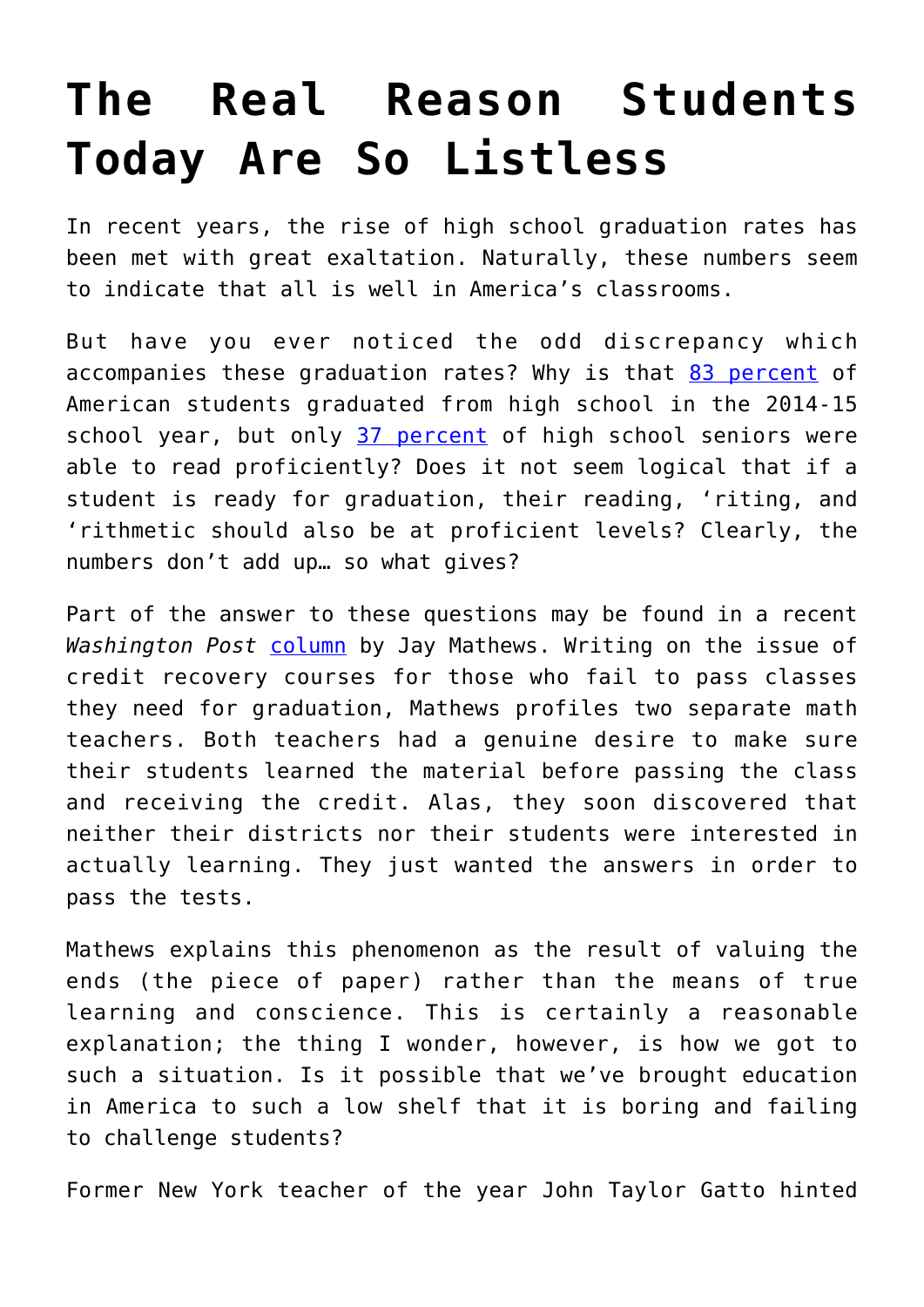## **[The Real Reason Students](https://intellectualtakeout.org/2017/08/the-real-reason-students-today-are-so-listless/) [Today Are So Listless](https://intellectualtakeout.org/2017/08/the-real-reason-students-today-are-so-listless/)**

In recent years, the rise of high school graduation rates has been met with great exaltation. Naturally, these numbers seem to indicate that all is well in America's classrooms.

But have you ever noticed the odd discrepancy which accompanies these graduation rates? Why is that [83 percent](https://nces.ed.gov/programs/coe/indicator_coi.asp) of American students graduated from high school in the 2014-15 school year, but only [37 percent](https://www.nationsreportcard.gov/) of high school seniors were able to read proficiently? Does it not seem logical that if a student is ready for graduation, their reading, 'riting, and 'rithmetic should also be at proficient levels? Clearly, the numbers don't add up… so what gives?

Part of the answer to these questions may be found in a recent *Washington Post* [column](https://www.washingtonpost.com/local/education/sacrificing-educators-consciences-to-raise-high-school-graduation-rates/2017/08/20/a826d256-82d3-11e7-b359-15a3617c767b_story.html?utm_term=.e38fcab79b48) by Jay Mathews. Writing on the issue of credit recovery courses for those who fail to pass classes they need for graduation, Mathews profiles two separate math teachers. Both teachers had a genuine desire to make sure their students learned the material before passing the class and receiving the credit. Alas, they soon discovered that neither their districts nor their students were interested in actually learning. They just wanted the answers in order to pass the tests.

Mathews explains this phenomenon as the result of valuing the ends (the piece of paper) rather than the means of true learning and conscience. This is certainly a reasonable explanation; the thing I wonder, however, is how we got to such a situation. Is it possible that we've brought education in America to such a low shelf that it is boring and failing to challenge students?

Former New York teacher of the year John Taylor Gatto hinted